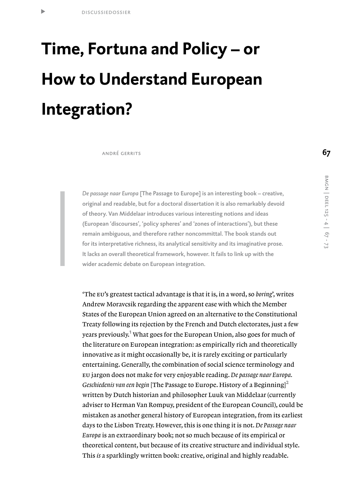t

# **Time, Fortuna and Policy – or How to Understand European Integration?**

andré gerrits

*De passage naar Europa* [The Passage to Europe] is an interesting book – creative, original and readable, but for a doctoral dissertation it is also remarkably devoid of theory. Van Middelaar introduces various interesting notions and ideas (European 'discourses', 'policy spheres' and 'zones of interactions'), but these remain ambiguous, and therefore rather noncommittal. The book stands out for its interpretative richness, its analytical sensitivity and its imaginative prose. It lacks an overall theoretical framework, however. It fails to link up with the wider academic debate on European integration.

'The eu's greatest tactical advantage is that it is, in a word, so *boring*', writes Andrew Moravcsik regarding the apparent ease with which the Member States of the European Union agreed on an alternative to the Constitutional Treaty following its rejection by the French and Dutch electorates, just a few years previously.<sup>1</sup> What goes for the European Union, also goes for much of the literature on European integration: as empirically rich and theoretically innovative as it might occasionally be, it is rarely exciting or particularly entertaining. Generally, the combination of social science terminology and eu jargon does not make for very enjoyable reading. *De passage naar Europa. Geschiedenis van een begin* [The Passage to Europe. History of a Beginning]<sup>2</sup> written by Dutch historian and philosopher Luuk van Middelaar (currently adviser to Herman Van Rompuy, president of the European Council), could be mistaken as another general history of European integration, from its earliest days to the Lisbon Treaty. However, this is one thing it is not. De Passage naar *Europa* is an extraordinary book; not so much because of its empirical or theoretical content, but because of its creative structure and individual style. This *is* a sparklingly written book: creative, original and highly readable.

**67**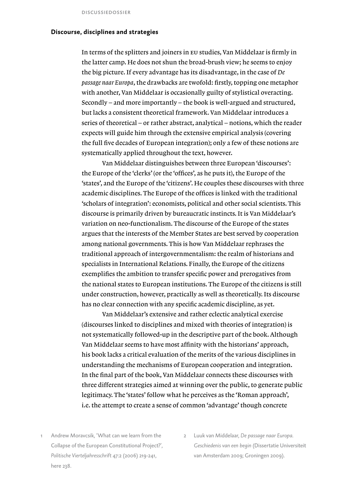## **Discourse, disciplines and strategies**

In terms of the splitters and joiners in eu studies, Van Middelaar is firmly in the latter camp. He does not shun the broad-brush view; he seems to enjoy the big picture.If every advantage has its disadvantage, in the case of *De passage naar Europa*, the drawbacks are twofold: firstly, topping one metaphor with another, Van Middelaar is occasionally guilty of stylistical overacting. Secondly – and more importantly – the book is well-argued and structured, but lacks a consistent theoretical framework. Van Middelaar introduces a series of theoretical – or rather abstract, analytical – notions, which the reader expects will guide him through the extensive empirical analysis (covering the full five decades of European integration); only a few of these notions are systematically applied throughout the text, however.

 Van Middelaar distinguishes between three European 'discourses': the Europe of the 'clerks' (or the 'offices', as he puts it), the Europe of the 'states', and the Europe of the 'citizens'. He couples these discourses with three academic disciplines.The Europe of the offices is linked with the traditional 'scholars of integration': economists, political and other social scientists.This discourse is primarily driven by bureaucratic instincts.It is Van Middelaar's variation on neo-functionalism.The discourse of the Europe of the states argues that the interests of the Member States are best served by cooperation among national governments.This is how Van Middelaar rephrases the traditional approach of intergovernmentalism: the realm of historians and specialists in International Relations. Finally, the Europe of the citizens exemplifies the ambition to transfer specific power and prerogatives from the national states to European institutions.The Europe of the citizens is still under construction, however, practically as well as theoretically.Its discourse has no clear connection with any specific academic discipline, as yet.

 Van Middelaar's extensive and rather eclectic analytical exercise (discourses linked to disciplines and mixed with theories of integration) is not systematically followed-up in the descriptive part of the book.Although Van Middelaar seems to have most affinity with the historians' approach, his book lacks a critical evaluation of the merits of the various disciplines in understanding the mechanisms of European cooperation and integration. In the final part of the book, Van Middelaar connects these discourses with three different strategies aimed at winning over the public, to generate public legitimacy.The 'states'follow what he perceives as the 'Roman approach', i.e.the attempt to create a sense of common 'advantage'though concrete

- Andrew Moravcsik, 'What can we learn from the Collapse of the European Constitutional Project?', *Politische Vierteljahresschrift* 47:2 (2006) 219-241, here 238.
- 2 Luuk van Middelaar, *De passage naar Europa. Geschiedenis van een begin* (Dissertatie Universiteit van Amsterdam 2009; Groningen 2009).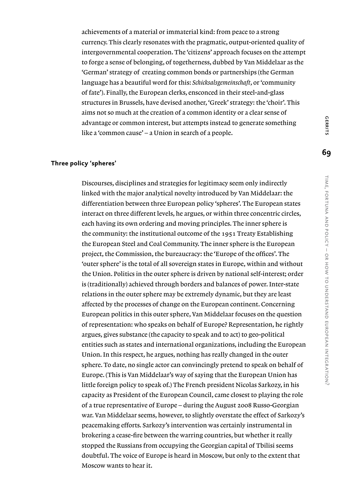achievements of a material or immaterial kind: from peace to a strong currency.This clearly resonates with the pragmatic, output-oriented quality of intergovernmental cooperation.The 'citizens' approach focuses on the attempt to forge a sense of belonging, of togetherness, dubbed by Van Middelaar as the 'German' strategy of creating common bonds or partnerships (the German language has a beautiful word for this: *Schicksalsgemeinschaft*, or 'community of fate'). Finally, the European clerks, ensconced in their steel-and-glass structures in Brussels, have devised another, 'Greek' strategy: the 'choir'.This aims not so much at the creation of a common identity or a clear sense of advantage or common interest, but attempts instead to generate something like a 'common cause' – a Union in search of a people.

#### **Three policy 'spheres'**

Discourses, disciplines and strategies for legitimacy seem only indirectly linked with the major analytical novelty introduced by Van Middelaar: the differentiation between three European policy 'spheres'.The European states interact on three different levels, he argues, or within three concentric circles, each having its own ordering and moving principles.The inner sphere is the community: the institutional outcome of the 1951 Treaty Establishing the European Steel and Coal Community.The inner sphere is the European project, the Commission, the bureaucracy: the 'Europe of the offices'. The 'outer sphere' is the total of all sovereign states in Europe, within and without the Union. Politics in the outer sphere is driven by national self-interest; order is (traditionally) achieved through borders and balances of power.Inter-state relations in the outer sphere may be extremely dynamic, but they are least affected by the processes of change on the European continent. Concerning European politics in this outer sphere, Van Middelaar focuses on the question of representation: who speaks on behalf of Europe? Representation, he rightly argues, gives substance (the capacity to speak and to act) to geo-political entities such as states and international organizations, including the European Union.In this respect, he argues, nothing has really changed in the outer sphere.To date, no single actor can convincingly pretend to speak on behalf of Europe. (This is Van Middelaar's way of saying that the European Union has little foreign policy to speak of.) The French president Nicolas Sarkozy, in his capacity as President of the European Council, came closest to playing the role of a true representative of Europe – during the August 2008 Russo-Georgian war. Van Middelaar seems, however, to slightly overstate the effect of Sarkozy's peacemaking efforts. Sarkozy's intervention was certainly instrumental in brokering a cease-fire between the warring countries, but whether it really stopped the Russians from occupying the Georgian capital of Tbilisi seems doubtful.The voice of Europe is heard in Moscow, but only to the extent that Moscow wants to hear it.

**69**

**GERRITS**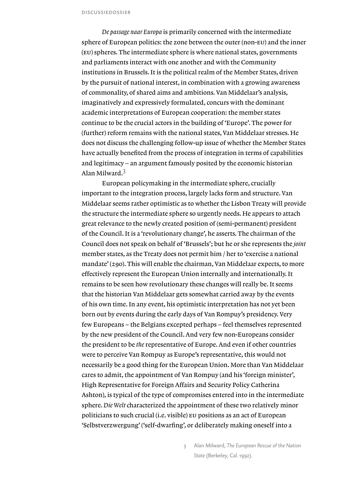*De passage naar Europa* is primarily concerned with the intermediate sphere of European politics: the zone between the outer (non-eu) and the inner (eu) spheres.The intermediate sphere is where national states, governments and parliaments interact with one another and with the Community institutions in Brussels.It is the political realm of the Member States, driven by the pursuit of national interest, in combination with a growing awareness of commonality, of shared aims and ambitions. Van Middelaar's analysis, imaginatively and expressively formulated, concurs with the dominant academic interpretations of European cooperation: the member states continue to be the crucial actors in the building of 'Europe'.The power for (further) reform remains with the national states, Van Middelaar stresses. He does not discuss the challenging follow-up issue of whether the Member States have actually benefited from the process of integration in terms of capabilities and legitimacy – an argument famously posited by the economic historian Alan Milward. $3$ 

European policymaking in the intermediate sphere, crucially important to the integration process, largely lacks form and structure. Van Middelaar seems rather optimistic as to whether the Lisbon Treaty will provide the structure the intermediate sphere so urgently needs. He appears to attach great relevance to the newly created position of (semi-permanent) president of the Council.It is a 'revolutionary change', he asserts.The chairman of the Council does not speak on behalf of 'Brussels'; but he or she represents the *joint* member states, as the Treaty does not permit him / her to 'exercise a national mandate' (290). This will enable the chairman, Van Middelaar expects, to more effectively represent the European Union internally and internationally.It remains to be seen how revolutionary these changes will really be. It seems that the historian Van Middelaar gets somewhat carried away by the events of his own time.In any event, his optimistic interpretation has not yet been born out by events during the early days of Van Rompuy's presidency. Very few Europeans – the Belgians excepted perhaps – feel themselves represented by the new president of the Council.And very few non-Europeans consider the president to be *the* representative of Europe.And even if other countries were to perceive Van Rompuy as Europe's representative, this would not necessarily be a good thing for the European Union. More than Van Middelaar cares to admit, the appointment of Van Rompuy (and his 'foreign minister', High Representative for Foreign Affairs and Security Policy Catherina Ashton), is typical of the type of compromises entered into in the intermediate sphere. *Die Welt* characterized the appointment of these two relatively minor politicians to such crucial (i.e. visible) eu positions as an act of European 'Selbstverzwergung' ('self-dwarfing', or deliberately making oneself into a

> 3 Alan Milward, *The European Rescue of the Nation State* (Berkeley, Cal. 1992).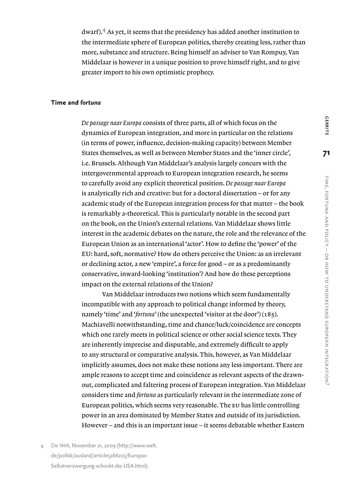dwarf).<sup>4</sup> As yet, it seems that the presidency has added another institution to the intermediate sphere of European politics, thereby creating less, rather than more, substance and structure. Being himself an adviser to Van Rompuy, Van Middelaar is however in a unique position to prove himself right, and to give greater import to his own optimistic prophecy.

### **Time and** *fortuna*

*De passage naar Europa* consists of three parts, all of which focus on the dynamics of European integration, and more in particular on the relations (in terms of power, influence, decision-making capacity) between Member States themselves, as well as between Member States and the 'inner circle', i.e. Brussels.Although Van Middelaar's analysis largely concurs with the intergovernmental approach to European integration research, he seems to carefully avoid any explicit theoretical position. *De passage naar Europa* is analytically rich and creative: but for a doctoral dissertation – or for any academic study of the European integration process for that matter – the book is remarkably a-theoretical.This is particularly notable in the second part on the book, on the Union's external relations. Van Middelaar shows little interest in the academic debates on the nature, the role and the relevance of the European Union as an international 'actor'. How to define the 'power' of the EU: hard, soft, normative? How do others perceive the Union: as an irrelevant or declining actor, a new 'empire', a force for good – or as a predominantly conservative, inward-looking 'institution'? And how do these perceptions impact on the external relations of the Union?

Van Middelaar introduces two notions which seem fundamentally incompatible with any approach to political change informed by theory, namely 'time' and '*fortuna*' (the unexpected 'visitor at the door') (185). Machiavelli notwithstanding, time and chance/luck/coincidence are concepts which one rarely meets in political science or other social science texts.They are inherently imprecise and disputable, and extremely difficult to apply to any structural or comparative analysis.This, however, as Van Middelaar implicitly assumes, does not make these notions any less important.There are ample reasons to accept time and coincidence as relevant aspects of the drawnout, complicated and faltering process of European integration. Van Middelaar considers time and *fortuna* as particularly relevant in the intermediate zone of European politics, which seems very reasonable.The eu has little controlling power in an area dominated by Member States and outside of its jurisdiction. However – and this is an important issue – it seems debatable whether Eastern

4 *Die Welt,* November 21, 2009 (http://www.welt. de/politik/ausland/article5286203/Europas-Selbstverzwergung-schockt-die-USA.html).

**GERRITS**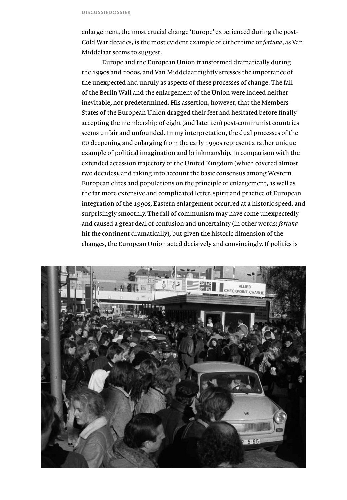enlargement, the most crucial change 'Europe' experienced during the post-Cold War decades, is the most evident example of either time or *fortuna*, as Van Middelaar seems to suggest.

Europe and the European Union transformed dramatically during the 1990s and 2000s, and Van Middelaar rightly stresses the importance of the unexpected and unruly as aspects of these processes of change.The fall of the Berlin Wall and the enlargement of the Union were indeed neither inevitable, nor predetermined. His assertion, however, that the Members States of the European Union dragged their feet and hesitated before finally accepting the membership of eight (and later ten) post-communist countries seems unfair and unfounded. In my interpretation, the dual processes of the eu deepening and enlarging from the early 1990s represent a rather unique example of political imagination and brinkmanship.In comparison with the extended accession trajectory of the United Kingdom (which covered almost two decades), and taking into account the basic consensus among Western European elites and populations on the principle of enlargement, as well as the far more extensive and complicated letter, spirit and practice of European integration of the 1990s, Eastern enlargement occurred at a historic speed, and surprisingly smoothly.The fall of communism may have come unexpectedly and caused a great deal of confusion and uncertainty (in other words: *fortuna*  hit the continent dramatically), but given the historic dimension of the changes, the European Union acted decisively and convincingly. If politics is

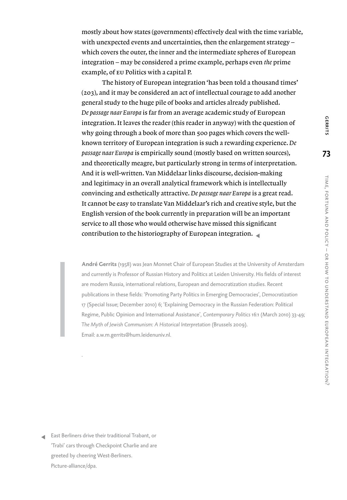mostly about how states (governments) effectively deal with the time variable, with unexpected events and uncertainties, then the enlargement strategy which covers the outer, the inner and the intermediate spheres of European integration – may be considered a prime example, perhaps even *the* prime example, of eu Politics with a capital P.

The history of European integration 'has been told a thousand times' (203), and it may be considered an act of intellectual courage to add another general study to the huge pile of books and articles already published. *De passage naar Europa* is far from an average academic study of European integration.It leaves the reader (this reader in anyway) with the question of why going through a book of more than 500 pages which covers the wellknown territory of European integration is such a rewarding experience. *De passage naar Europa* is empirically sound (mostly based on written sources), and theoretically meagre, but particularly strong in terms of interpretation. And it is well-written. Van Middelaar links discourse, decision-making and legitimacy in an overall analytical framework which is intellectually convincing and esthetically attractive. *De passage naar Europa* is a great read. It cannot be easy to translate Van Middelaar's rich and creative style, but the English version of the book currently in preparation will be an important service to all those who would otherwise have missed this significant contribution to the historiography of European integration.

**André Gerrits** (1958) was Jean Monnet Chair of European Studies at the University of Amsterdam and currently is Professor of Russian History and Politics at Leiden University. His fields of interest are modern Russia, international relations, European and democratization studies. Recent publications in these fields: 'Promoting Party Politics in Emerging Democracies', *Democratization*  17 (Special Issue; December 2010) 6; 'Explaining Democracy in the Russian Federation: Political Regime, Public Opinion and International Assistance', *Contemporary Politics* 16:1 (March 2010) 33-49; *The Myth of Jewish Communism: A Historical Interpretation* (Brussels 2009). Email: a.w.m.gerrits@hum.leidenuniv.nl.

East Berliners drive their traditional Trabant, or 'Trabi' cars through Checkpoint Charlie and are greeted by cheering West-Berliners. Picture-alliance/dpa.

.

**GERRITS**